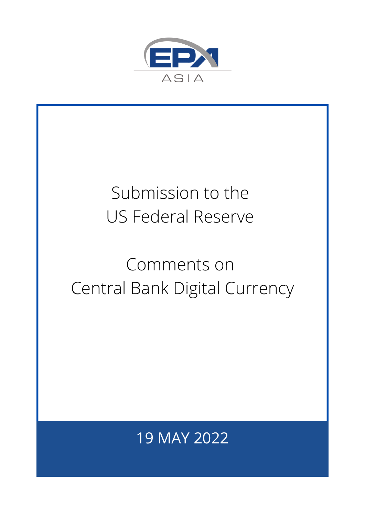

## Submission to the US Federal Reserve

## Comments on Central Bank Digital Currency

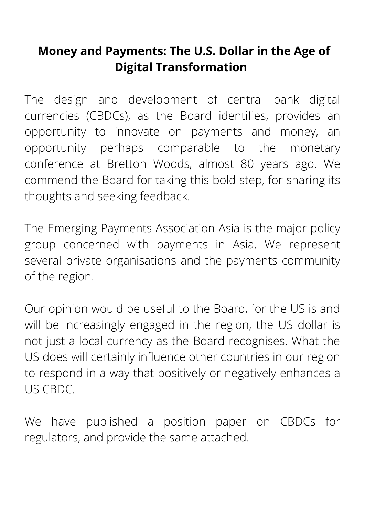#### **Money and Payments: The U.S. Dollar in the Age of Digital Transformation**

The design and development of central bank digital currencies (CBDCs), as the Board identifies, provides an opportunity to innovate on payments and money, an opportunity perhaps comparable to the monetary conference at Bretton Woods, almost 80 years ago. We commend the Board for taking this bold step, for sharing its thoughts and seeking feedback.

The Emerging Payments Association Asia is the major policy group concerned with payments in Asia. We represent several private organisations and the payments community of the region.

Our opinion would be useful to the Board, for the US is and will be increasingly engaged in the region, the US dollar is not just a local currency as the Board recognises. What the US does will certainly influence other countries in our region to respond in a way that positively or negatively enhances a US CBDC.

We have published a position paper on CBDCs for regulators, and provide the same attached.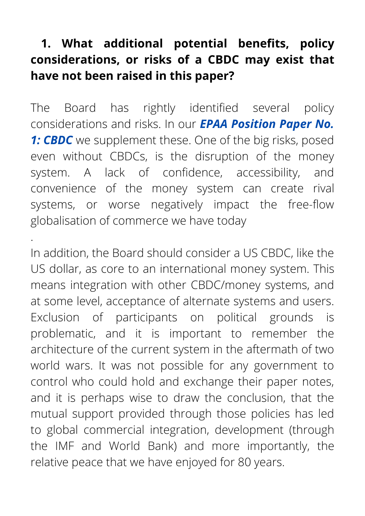#### **1. What additional potential benefits, policy considerations, or risks of a CBDC may exist that have not been raised in this paper?**

The Board has rightly identified several policy [considerations](https://workdrive.zohoexternal.com/file/qn0pd6e71bc2a2aad4a889f27bd46835045f0) and risks. In our *EPAA Position Paper No.* **1: CBDC** we supplement these. One of the big risks, posed even without CBDCs, is the disruption of the money system. A lack of confidence, accessibility, and convenience of the money system can create rival systems, or worse negatively impact the free-flow globalisation of commerce we have today

.

In addition, the Board should consider a US CBDC, like the US dollar, as core to an international money system. This means integration with other CBDC/money systems, and at some level, acceptance of alternate systems and users. Exclusion of participants on political grounds is problematic, and it is important to remember the architecture of the current system in the aftermath of two world wars. It was not possible for any government to control who could hold and exchange their paper notes, and it is perhaps wise to draw the conclusion, that the mutual support provided through those policies has led to global commercial integration, development (through the IMF and World Bank) and more importantly, the relative peace that we have enjoyed for 80 years.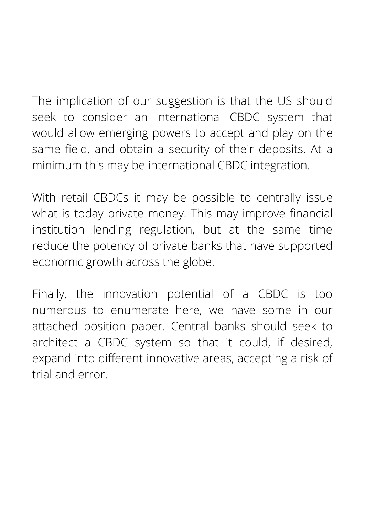The implication of our suggestion is that the US should seek to consider an International CBDC system that would allow emerging powers to accept and play on the same field, and obtain a security of their deposits. At a minimum this may be international CBDC integration.

With retail CBDCs it may be possible to centrally issue what is today private money. This may improve financial institution lending regulation, but at the same time reduce the potency of private banks that have supported economic growth across the globe.

Finally, the innovation potential of a CBDC is too numerous to enumerate here, we have some in our attached position paper. Central banks should seek to architect a CBDC system so that it could, if desired, expand into different innovative areas, accepting a risk of trial and error.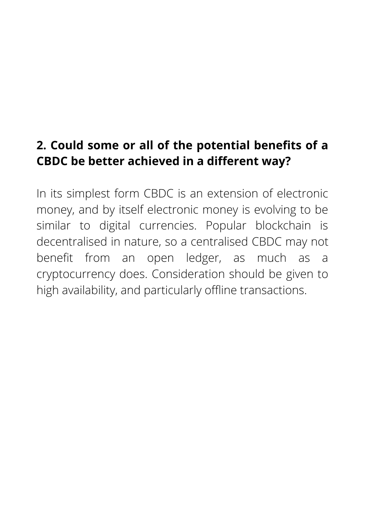#### **2. Could some or all of the potential benefits of a CBDC be better achieved in a different way?**

In its simplest form CBDC is an extension of electronic money, and by itself electronic money is evolving to be similar to digital currencies. Popular blockchain is decentralised in nature, so a centralised CBDC may not benefit from an open ledger, as much as a cryptocurrency does. Consideration should be given to high availability, and particularly offline transactions.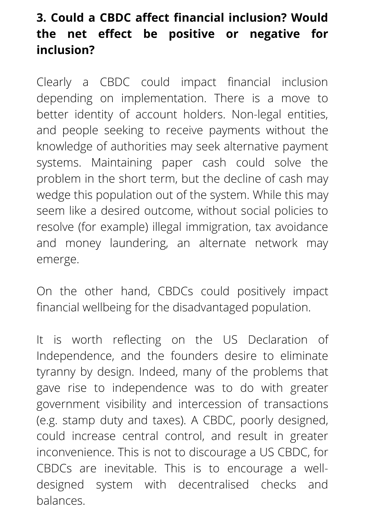#### **3. Could a CBDC affect financial inclusion? Would the net effect be positive or negative for inclusion?**

Clearly a CBDC could impact financial inclusion depending on implementation. There is a move to better identity of account holders. Non-legal entities, and people seeking to receive payments without the knowledge of authorities may seek alternative payment systems. Maintaining paper cash could solve the problem in the short term, but the decline of cash may wedge this population out of the system. While this may seem like a desired outcome, without social policies to resolve (for example) illegal immigration, tax avoidance and money laundering, an alternate network may emerge.

On the other hand, CBDCs could positively impact financial wellbeing for the disadvantaged population.

It is worth reflecting on the US Declaration of Independence, and the founders desire to eliminate tyranny by design. Indeed, many of the problems that gave rise to independence was to do with greater government visibility and intercession of transactions (e.g. stamp duty and taxes). A CBDC, poorly designed, could increase central control, and result in greater inconvenience. This is not to discourage a US CBDC, for CBDCs are inevitable. This is to encourage a welldesigned system with decentralised checks and balances.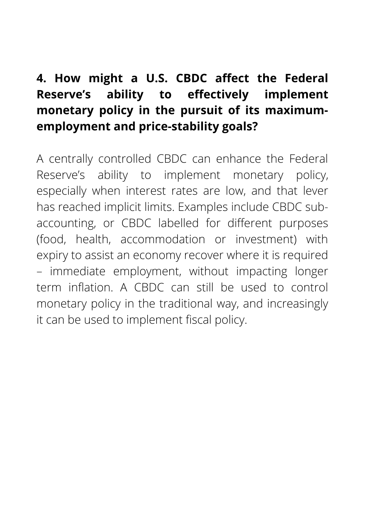#### **4. How might a U.S. CBDC affect the Federal Reserve's ability to effectively implement monetary policy in the pursuit of its maximumemployment and price-stability goals?**

A centrally controlled CBDC can enhance the Federal Reserve's ability to implement monetary policy, especially when interest rates are low, and that lever has reached implicit limits. Examples include CBDC subaccounting, or CBDC labelled for different purposes (food, health, accommodation or investment) with expiry to assist an economy recover where it is required – immediate employment, without impacting longer term inflation. A CBDC can still be used to control monetary policy in the traditional way, and increasingly it can be used to implement fiscal policy.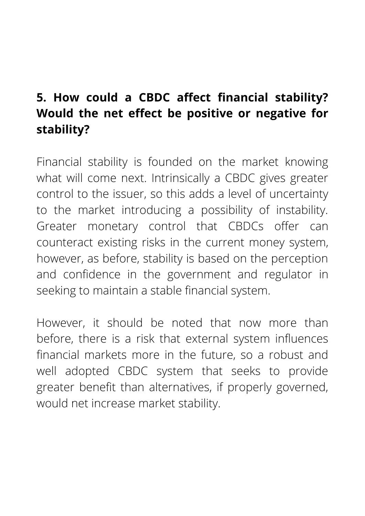### **5. How could a CBDC affect financial stability? Would the net effect be positive or negative for stability?**

Financial stability is founded on the market knowing what will come next. Intrinsically a CBDC gives greater control to the issuer, so this adds a level of uncertainty to the market introducing a possibility of instability. Greater monetary control that CBDCs offer can counteract existing risks in the current money system, however, as before, stability is based on the perception and confidence in the government and regulator in seeking to maintain a stable financial system.

However, it should be noted that now more than before, there is a risk that external system influences financial markets more in the future, so a robust and well adopted CBDC system that seeks to provide greater benefit than alternatives, if properly governed, would net increase market stability.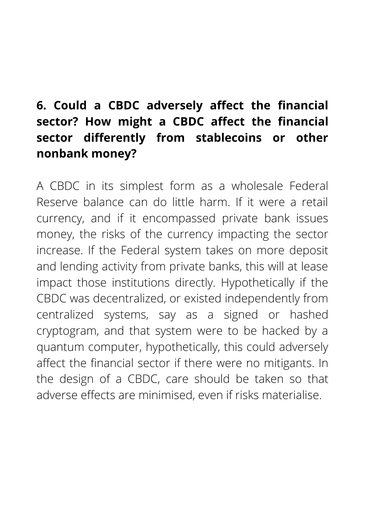#### **6. Could a CBDC adversely affect the financial sector? How might a CBDC affect the financial sector differently from stablecoins or other nonbank money?**

A CBDC in its simplest form as a wholesale Federal Reserve balance can do little harm. If it were a retail currency, and if it encompassed private bank issues money, the risks of the currency impacting the sector increase. If the Federal system takes on more deposit and lending activity from private banks, this will at lease impact those institutions directly. Hypothetically if the CBDC was decentralized, or existed independently from centralized systems, say as a signed or hashed cryptogram, and that system were to be hacked by a quantum computer, hypothetically, this could adversely affect the financial sector if there were no mitigants. In the design of a CBDC, care should be taken so that adverse effects are minimised, even if risks materialise.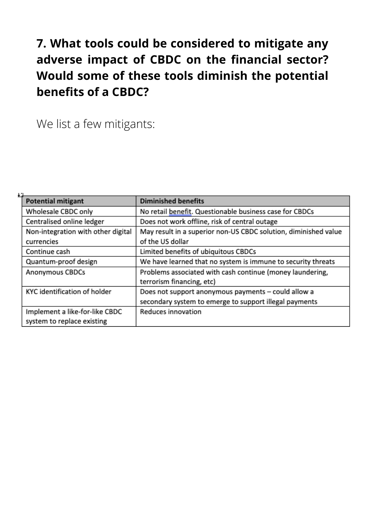#### **7. What tools could be considered to mitigate any adverse impact of CBDC on the financial sector? Would some of these tools diminish the potential benefits of a CBDC?**

We list a few mitigants:

| <b>Potential mitigant</b>          | <b>Diminished benefits</b>                                      |
|------------------------------------|-----------------------------------------------------------------|
| Wholesale CBDC only                | No retail benefit. Questionable business case for CBDCs         |
| Centralised online ledger          | Does not work offline, risk of central outage                   |
| Non-integration with other digital | May result in a superior non-US CBDC solution, diminished value |
| currencies                         | of the US dollar                                                |
| Continue cash                      | Limited benefits of ubiquitous CBDCs                            |
| Quantum-proof design               | We have learned that no system is immune to security threats    |
| Anonymous CBDCs                    | Problems associated with cash continue (money laundering,       |
|                                    | terrorism financing, etc)                                       |
| KYC identification of holder       | Does not support anonymous payments - could allow a             |
|                                    | secondary system to emerge to support illegal payments          |
| Implement a like-for-like CBDC     | Reduces innovation                                              |
| system to replace existing         |                                                                 |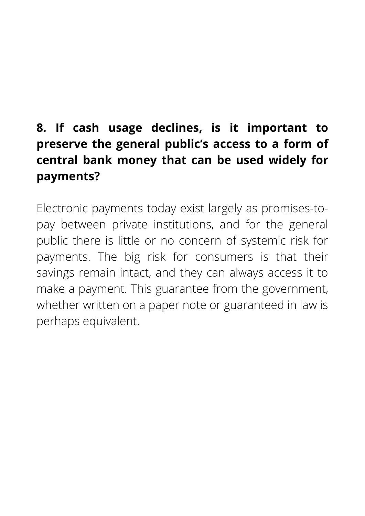### **8. If cash usage declines, is it important to preserve the general public's access to a form of central bank money that can be used widely for payments?**

Electronic payments today exist largely as promises-topay between private institutions, and for the general public there is little or no concern of systemic risk for payments. The big risk for consumers is that their savings remain intact, and they can always access it to make a payment. This guarantee from the government, whether written on a paper note or guaranteed in law is perhaps equivalent.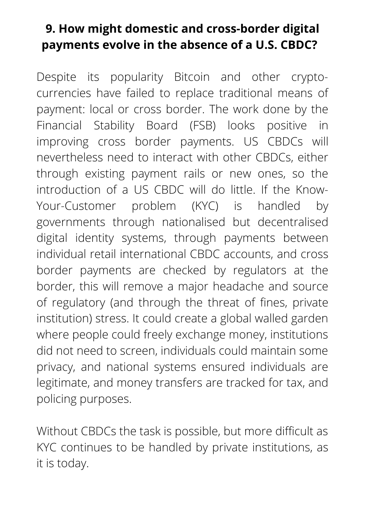#### **9. How might domestic and cross-border digital payments evolve in the absence of a U.S. CBDC?**

Despite its popularity Bitcoin and other cryptocurrencies have failed to replace traditional means of payment: local or cross border. The work done by the Financial Stability Board (FSB) looks positive in improving cross border payments. US CBDCs will nevertheless need to interact with other CBDCs, either through existing payment rails or new ones, so the introduction of a US CBDC will do little. If the Know-Your-Customer problem (KYC) is handled by governments through nationalised but decentralised digital identity systems, through payments between individual retail international CBDC accounts, and cross border payments are checked by regulators at the border, this will remove a major headache and source of regulatory (and through the threat of fines, private institution) stress. It could create a global walled garden where people could freely exchange money, institutions did not need to screen, individuals could maintain some privacy, and national systems ensured individuals are legitimate, and money transfers are tracked for tax, and policing purposes.

Without CBDCs the task is possible, but more difficult as KYC continues to be handled by private institutions, as it is today.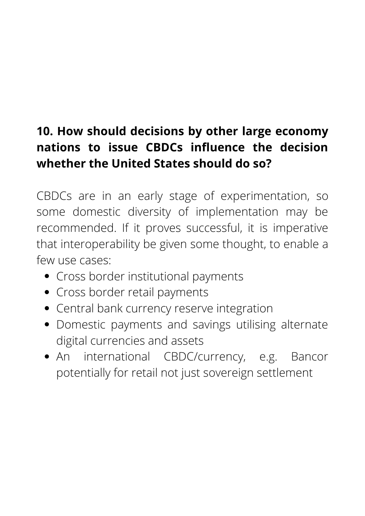### **10. How should decisions by other large economy nations to issue CBDCs influence the decision whether the United States should do so?**

CBDCs are in an early stage of experimentation, so some domestic diversity of implementation may be recommended. If it proves successful, it is imperative that interoperability be given some thought, to enable a few use cases:

- Cross border institutional payments
- Cross border retail payments
- Central bank currency reserve integration
- Domestic payments and savings utilising alternate digital currencies and assets
- An international CBDC/currency, e.g. Bancor potentially for retail not just sovereign settlement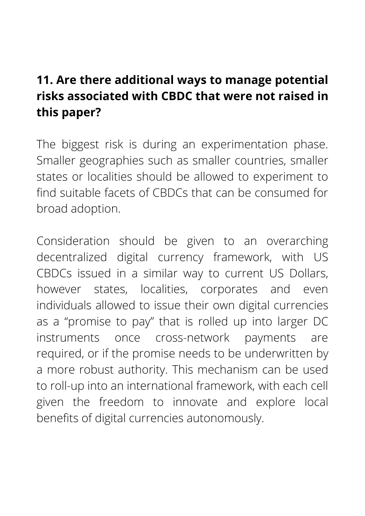#### **11. Are there additional ways to manage potential risks associated with CBDC that were not raised in this paper?**

The biggest risk is during an experimentation phase. Smaller geographies such as smaller countries, smaller states or localities should be allowed to experiment to find suitable facets of CBDCs that can be consumed for broad adoption.

Consideration should be given to an overarching decentralized digital currency framework, with US CBDCs issued in a similar way to current US Dollars, however states, localities, corporates and even individuals allowed to issue their own digital currencies as a "promise to pay" that is rolled up into larger DC instruments once cross-network payments are required, or if the promise needs to be underwritten by a more robust authority. This mechanism can be used to roll-up into an international framework, with each cell given the freedom to innovate and explore local benefits of digital currencies autonomously.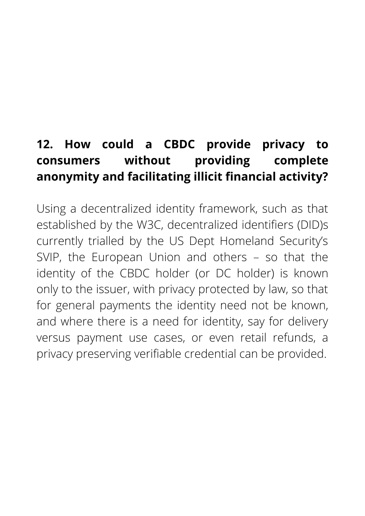### **12. How could a CBDC provide privacy to consumers without providing complete anonymity and facilitating illicit financial activity?**

Using a decentralized identity framework, such as that established by the W3C, decentralized identifiers (DID)s currently trialled by the US Dept Homeland Security's SVIP, the European Union and others – so that the identity of the CBDC holder (or DC holder) is known only to the issuer, with privacy protected by law, so that for general payments the identity need not be known, and where there is a need for identity, say for delivery versus payment use cases, or even retail refunds, a privacy preserving verifiable credential can be provided.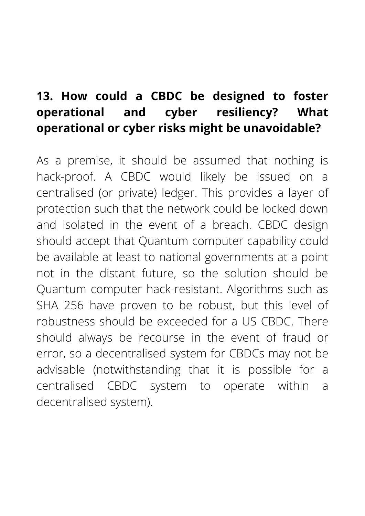#### **13. How could a CBDC be designed to foster operational and cyber resiliency? What operational or cyber risks might be unavoidable?**

As a premise, it should be assumed that nothing is hack-proof. A CBDC would likely be issued on a centralised (or private) ledger. This provides a layer of protection such that the network could be locked down and isolated in the event of a breach. CBDC design should accept that Quantum computer capability could be available at least to national governments at a point not in the distant future, so the solution should be Quantum computer hack-resistant. Algorithms such as SHA 256 have proven to be robust, but this level of robustness should be exceeded for a US CBDC. There should always be recourse in the event of fraud or error, so a decentralised system for CBDCs may not be advisable (notwithstanding that it is possible for a centralised CBDC system to operate within a decentralised system).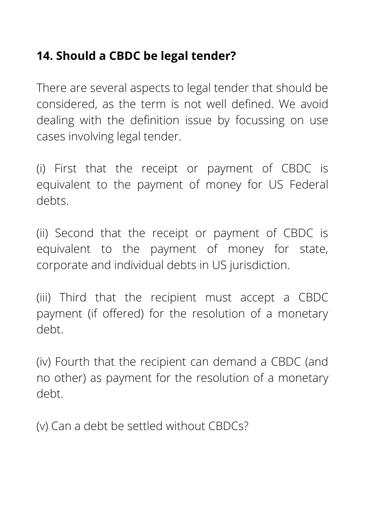#### **14. Should a CBDC be legal tender?**

There are several aspects to legal tender that should be considered, as the term is not well defined. We avoid dealing with the definition issue by focussing on use cases involving legal tender.

(i) First that the receipt or payment of CBDC is equivalent to the payment of money for US Federal debts.

(ii) Second that the receipt or payment of CBDC is equivalent to the payment of money for state, corporate and individual debts in US jurisdiction.

(iii) Third that the recipient must accept a CBDC payment (if offered) for the resolution of a monetary debt.

(iv) Fourth that the recipient can demand a CBDC (and no other) as payment for the resolution of a monetary debt.

(v) Can a debt be settled without CBDCs?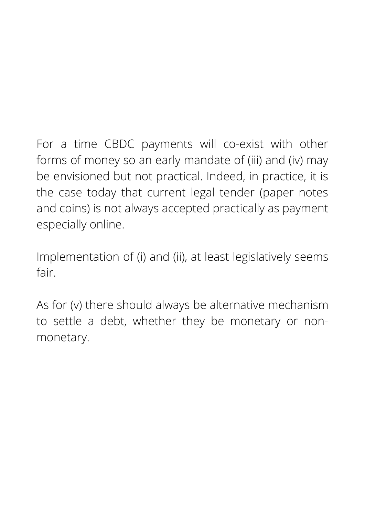For a time CBDC payments will co-exist with other forms of money so an early mandate of (iii) and (iv) may be envisioned but not practical. Indeed, in practice, it is the case today that current legal tender (paper notes and coins) is not always accepted practically as payment especially online.

Implementation of (i) and (ii), at least legislatively seems fair.

As for (v) there should always be alternative mechanism to settle a debt, whether they be monetary or nonmonetary.